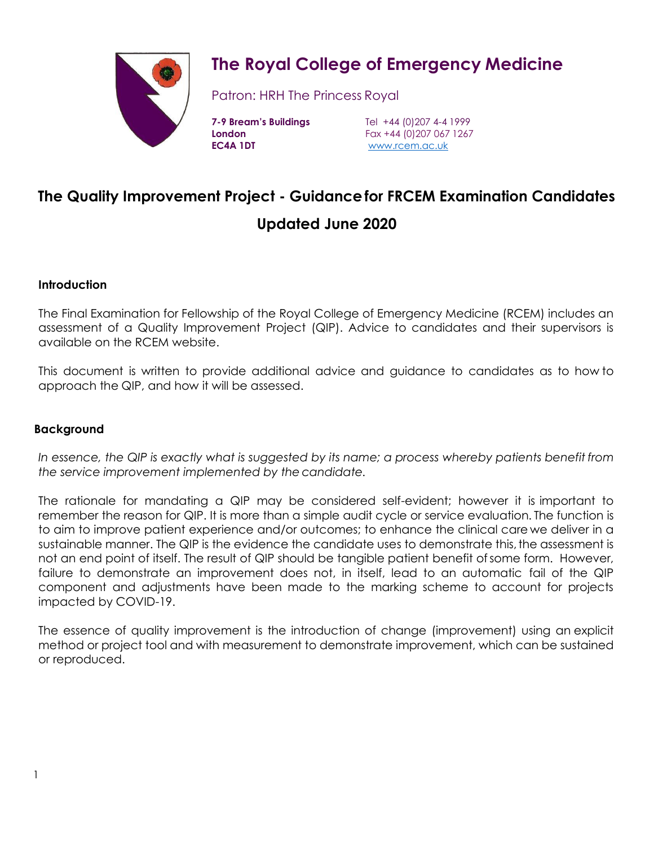

# **The Royal College of Emergency Medicine**

Patron: HRH The Princess Royal

**EC4A 1DT** [www.rcem.ac.uk](http://www.rcem.ac.uk/)

**7-9 Bream's Buildings** Tel +44 (0)207 4-4 1999 **London** Fax +44 (0)207 067 1267

## **The Quality Improvement Project - Guidancefor FRCEM Examination Candidates**

### **Updated June 2020**

#### **Introduction**

The Final Examination for Fellowship of the Royal College of Emergency Medicine (RCEM) includes an assessment of a Quality Improvement Project (QIP). Advice to candidates and their supervisors is available on the RCEM website.

This document is written to provide additional advice and guidance to candidates as to how to approach the QIP, and how it will be assessed.

#### **Background**

In essence, the QIP is exactly what is suggested by its name; a process whereby patients benefit from *the service improvement implemented by the candidate.*

The rationale for mandating a QIP may be considered self-evident; however it is important to remember the reason for QIP. It is more than a simple audit cycle or service evaluation. The function is to aim to improve patient experience and/or outcomes; to enhance the clinical care we deliver in a sustainable manner. The QIP is the evidence the candidate uses to demonstrate this, the assessment is not an end point of itself. The result of QIP should be tangible patient benefit ofsome form. However, failure to demonstrate an improvement does not, in itself, lead to an automatic fail of the QIP component and adjustments have been made to the marking scheme to account for projects impacted by COVID-19.

The essence of quality improvement is the introduction of change (improvement) using an explicit method or project tool and with measurement to demonstrate improvement, which can be sustained or reproduced.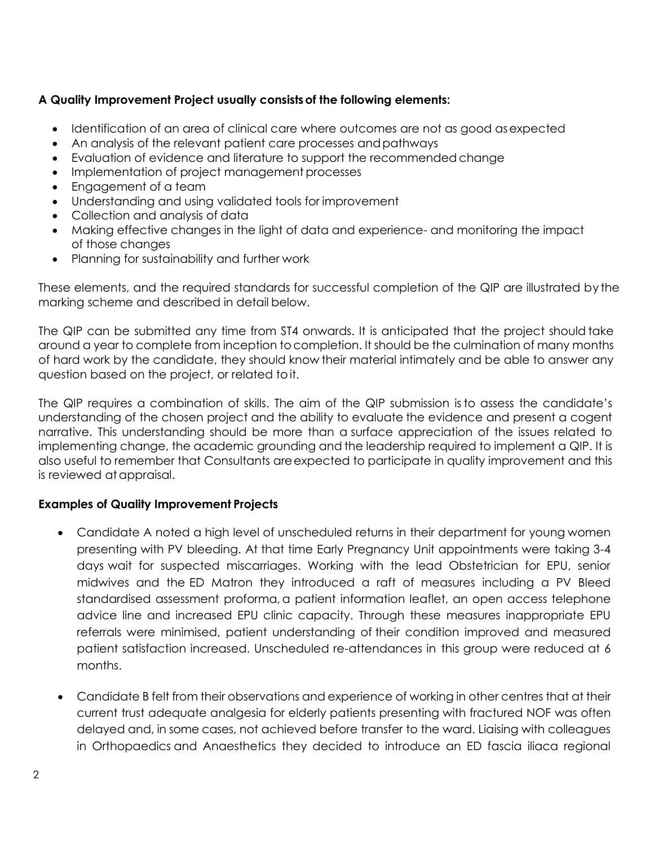#### **A Quality Improvement Project usually consistsof the following elements:**

- Identification of an area of clinical care where outcomes are not as good asexpected
- An analysis of the relevant patient care processes and pathways
- Evaluation of evidence and literature to support the recommended change
- Implementation of project management processes
- Engagement of a team
- Understanding and using validated tools for improvement
- Collection and analysis of data
- Making effective changes in the light of data and experience- and monitoring the impact of those changes
- Planning for sustainability and further work

These elements, and the required standards for successful completion of the QIP are illustrated by the marking scheme and described in detail below.

The QIP can be submitted any time from ST4 onwards. It is anticipated that the project should take around a year to complete from inception tocompletion. It should be the culmination of many months of hard work by the candidate, they should know their material intimately and be able to answer any question based on the project, or related toit.

The QIP requires a combination of skills. The aim of the QIP submission is to assess the candidate's understanding of the chosen project and the ability to evaluate the evidence and present a cogent narrative. This understanding should be more than a surface appreciation of the issues related to implementing change, the academic grounding and the leadership required to implement a QIP. It is also useful to remember that Consultants areexpected to participate in quality improvement and this is reviewed at appraisal.

#### **Examples of Quality Improvement Projects**

- Candidate A noted a high level of unscheduled returns in their department for young women presenting with PV bleeding. At that time Early Pregnancy Unit appointments were taking 3-4 days wait for suspected miscarriages. Working with the lead Obstetrician for EPU, senior midwives and the ED Matron they introduced a raft of measures including a PV Bleed standardised assessment proforma, a patient information leaflet, an open access telephone advice line and increased EPU clinic capacity. Through these measures inappropriate EPU referrals were minimised, patient understanding of their condition improved and measured patient satisfaction increased. Unscheduled re-attendances in this group were reduced at 6 months.
- Candidate B felt from their observations and experience of working in other centres that at their current trust adequate analgesia for elderly patients presenting with fractured NOF was often delayed and, in some cases, not achieved before transfer to the ward. Liaising with colleagues in Orthopaedics and Anaesthetics they decided to introduce an ED fascia iliaca regional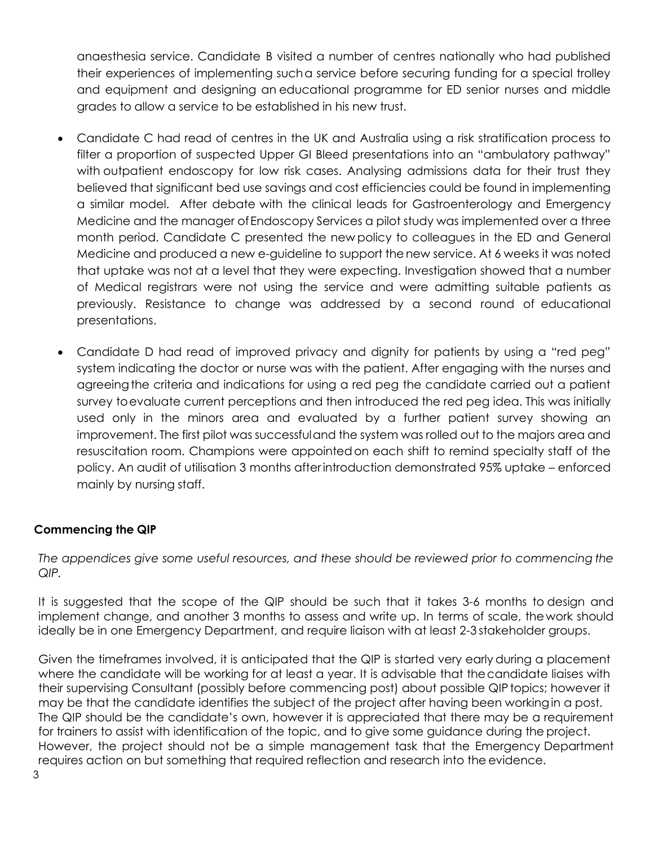anaesthesia service. Candidate B visited a number of centres nationally who had published their experiences of implementing sucha service before securing funding for a special trolley and equipment and designing an educational programme for ED senior nurses and middle grades to allow a service to be established in his new trust.

- Candidate C had read of centres in the UK and Australia using a risk stratification process to filter a proportion of suspected Upper GI Bleed presentations into an "ambulatory pathway" with outpatient endoscopy for low risk cases. Analysing admissions data for their trust they believed that significant bed use savings and cost efficiencies could be found in implementing a similar model. After debate with the clinical leads for Gastroenterology and Emergency Medicine and the manager ofEndoscopy Services a pilot study was implemented over a three month period. Candidate C presented the new policy to colleagues in the ED and General Medicine and produced a new e-guideline to support thenew service. At 6 weeks it was noted that uptake was not at a level that they were expecting. Investigation showed that a number of Medical registrars were not using the service and were admitting suitable patients as previously. Resistance to change was addressed by a second round of educational presentations.
- Candidate D had read of improved privacy and dignity for patients by using a "red peg" system indicating the doctor or nurse was with the patient. After engaging with the nurses and agreeingthe criteria and indications for using a red peg the candidate carried out a patient survey toevaluate current perceptions and then introduced the red peg idea. This was initially used only in the minors area and evaluated by a further patient survey showing an improvement. The first pilot was successfuland the system was rolled out to the majors area and resuscitation room. Champions were appointedon each shift to remind specialty staff of the policy. An audit of utilisation 3 months after introduction demonstrated 95% uptake – enforced mainly by nursing staff.

#### **Commencing the QIP**

*The appendices give some useful resources, and these should be reviewed prior to commencing the QIP.*

It is suggested that the scope of the QIP should be such that it takes 3-6 months to design and implement change, and another 3 months to assess and write up. In terms of scale, the work should ideally be in one Emergency Department, and require liaison with at least 2-3 stakeholder groups.

Given the timeframes involved, it is anticipated that the QIP is started very early during a placement where the candidate will be working for at least a year. It is advisable that thecandidate liaises with their supervising Consultant (possibly before commencing post) about possible QIPtopics; however it may be that the candidate identifies the subject of the project after having been workingin a post. The QIP should be the candidate's own, however it is appreciated that there may be a requirement for trainers to assist with identification of the topic, and to give some guidance during the project. However, the project should not be a simple management task that the Emergency Department requires action on but something that required reflection and research into the evidence.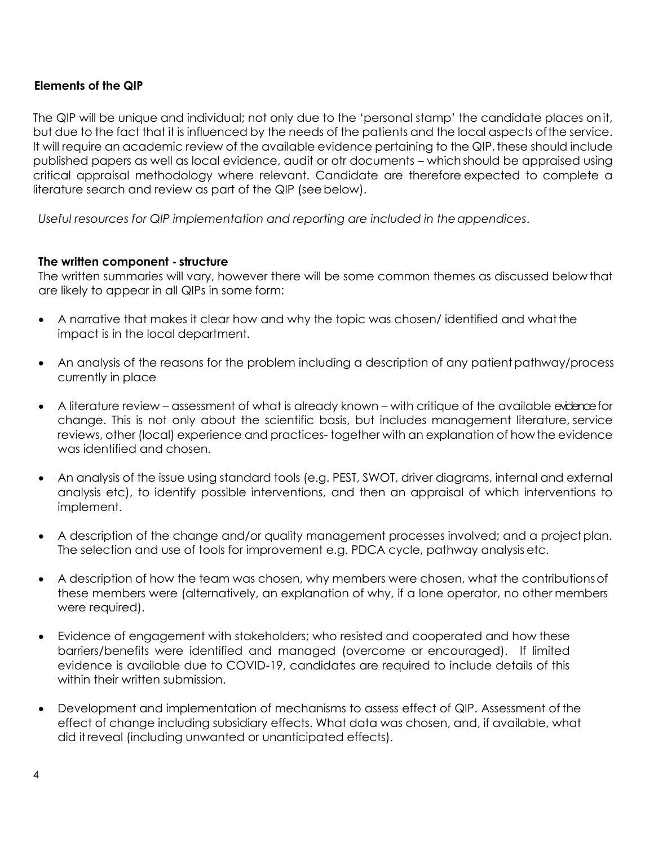#### **Elements of the QIP**

The QIP will be unique and individual; not only due to the 'personal stamp' the candidate places onit, but due to the fact that it is influenced by the needs of the patients and the local aspects ofthe service. It will require an academic review of the available evidence pertaining to the QIP, these should include published papers as well as local evidence, audit or otr documents – which should be appraised using critical appraisal methodology where relevant. Candidate are therefore expected to complete a literature search and review as part of the QIP (seebelow).

*Useful resources for QIP implementation and reporting are included in theappendices*.

#### **The written component - structure**

The written summaries will vary, however there will be some common themes as discussed below that are likely to appear in all QIPs in some form:

- A narrative that makes it clear how and why the topic was chosen/ identified and whatthe impact is in the local department.
- An analysis of the reasons for the problem including a description of any patient pathway/process currently in place
- A literature review assessment of what is already known with critique of the available exidence for change. This is not only about the scientific basis, but includes management literature, service reviews, other (local) experience and practices- together with an explanation of how the evidence was identified and chosen.
- An analysis of the issue using standard tools (e.g. PEST, SWOT, driver diagrams, internal and external analysis etc), to identify possible interventions, and then an appraisal of which interventions to implement.
- A description of the change and/or quality management processes involved; and a project plan. The selection and use of tools for improvement e.g. PDCA cycle, pathway analysis etc.
- A description of how the team was chosen, why members were chosen, what the contributionsof these members were (alternatively, an explanation of why, if a lone operator, no other members were required).
- Evidence of engagement with stakeholders; who resisted and cooperated and how these barriers/benefits were identified and managed (overcome or encouraged). If limited evidence is available due to COVID-19, candidates are required to include details of this within their written submission.
- Development and implementation of mechanisms to assess effect of QIP. Assessment of the effect of change including subsidiary effects. What data was chosen, and, if available, what did itreveal (including unwanted or unanticipated effects).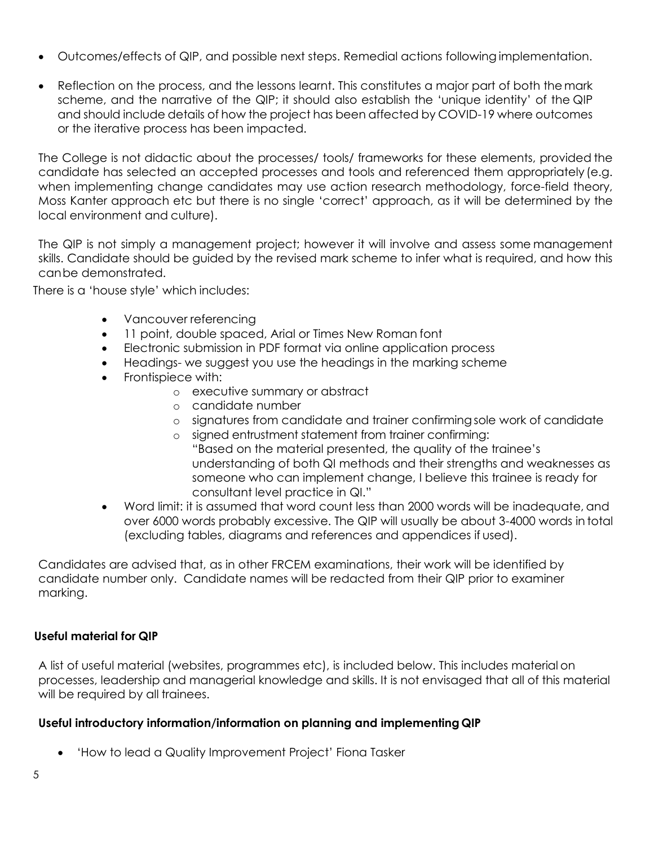- Outcomes/effects of QIP, and possible next steps. Remedial actions following implementation.
- Reflection on the process, and the lessons learnt. This constitutes a major part of both the mark scheme, and the narrative of the QIP; it should also establish the 'unique identity' of the QIP and should include details of how the project has been affected by COVID-19 where outcomes or the iterative process has been impacted.

The College is not didactic about the processes/ tools/ frameworks for these elements, provided the candidate has selected an accepted processes and tools and referenced them appropriately (e.g. when implementing change candidates may use action research methodology, force-field theory, Moss Kanter approach etc but there is no single 'correct' approach, as it will be determined by the local environment and culture).

The QIP is not simply a management project; however it will involve and assess some management skills. Candidate should be guided by the revised mark scheme to infer what is required, and how this canbe demonstrated.

There is a 'house style' which includes:

- Vancouver referencing
- 11 point, double spaced, Arial or Times New Roman font
- Electronic submission in PDF format via online application process
- Headings- we suggest you use the headings in the marking scheme
- Frontispiece with:
	- o executive summary or abstract
	- o candidate number
	- o signatures from candidate and trainer confirmingsole work of candidate
	- o signed entrustment statement from trainer confirming: "Based on the material presented, the quality of the trainee's understanding of both QI methods and their strengths and weaknesses as someone who can implement change, I believe this trainee is ready for consultant level practice in QI."
- Word limit: it is assumed that word count less than 2000 words will be inadequate, and over 6000 words probably excessive. The QIP will usually be about 3-4000 words in total (excluding tables, diagrams and references and appendices if used).

Candidates are advised that, as in other FRCEM examinations, their work will be identified by candidate number only. Candidate names will be redacted from their QIP prior to examiner marking.

#### **Useful material for QIP**

A list of useful material (websites, programmes etc), is included below. This includes material on processes, leadership and managerial knowledge and skills. It is not envisaged that all of this material will be required by all trainees.

#### **Useful introductory information/information on planning and implementing QIP**

• 'How to lead a Quality Improvement Project' Fiona Tasker